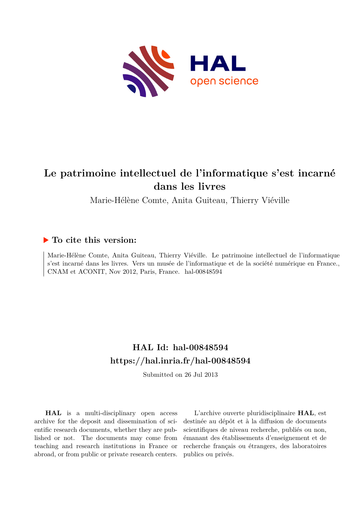

# **Le patrimoine intellectuel de l'informatique s'est incarné dans les livres**

Marie-Hélène Comte, Anita Guiteau, Thierry Viéville

### **To cite this version:**

Marie-Hélène Comte, Anita Guiteau, Thierry Viéville. Le patrimoine intellectuel de l'informatique s'est incarné dans les livres. Vers un musée de l'informatique et de la société numérique en France., CNAM et ACONIT, Nov 2012, Paris, France. hal-00848594

### **HAL Id: hal-00848594 <https://hal.inria.fr/hal-00848594>**

Submitted on 26 Jul 2013

**HAL** is a multi-disciplinary open access archive for the deposit and dissemination of scientific research documents, whether they are published or not. The documents may come from teaching and research institutions in France or abroad, or from public or private research centers.

L'archive ouverte pluridisciplinaire **HAL**, est destinée au dépôt et à la diffusion de documents scientifiques de niveau recherche, publiés ou non, émanant des établissements d'enseignement et de recherche français ou étrangers, des laboratoires publics ou privés.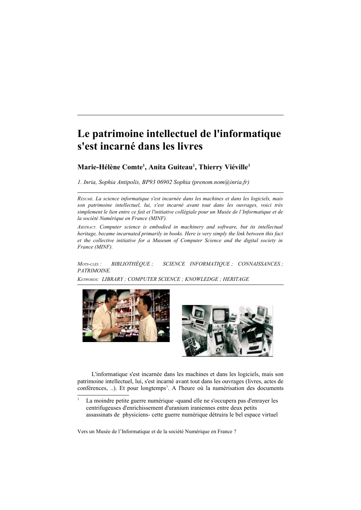## Le patrimoine intellectuel de l'informatique s'est incarné dans les livres

#### Marie-Hélène Comte<sup>1</sup>, Anita Guiteau<sup>1</sup>, Thierry Viéville<sup>1</sup>

1. Inria, Sophia Antipolis, BP93 06902 Sophia (prenom.nom@inria.fr)

RÉSUMÉ. La science informatique s'est incarnée dans les machines et dans les logiciels, mais son patrimoine intellectuel, lui, s'est incarné avant tout dans les ouvrages, voici très simplement le lien entre ce fait et l'initiative collégiale pour un Musée de l'Informatique et de la société Numérique en France (MINF).

ABSTRACT. Computer science is embodied in machinery and software, but its intellectual heritage, became incarnated primarily in books. Here is very simply the link between this fact et the collective initiative for a Museum of Computer Science and the digital society in France (MINF).

**BIBLIOTHÈOUE**: SCIENCE INFORMATIQUE ; CONNAISSANCES ;  $M$ <sub>OTS</sub>- $CL$ ÉS : PATRIMOINE.

KEYWORDS: LIBRARY: COMPUTER SCIENCE: KNOWLEDGE: HERITAGE





L'informatique s'est incarnée dans les machines et dans les logiciels, mais son patrimoine intellectuel, lui, s'est incarné avant tout dans les ouvrages (livres, actes de conférences, ...). Et pour longtemps<sup>1</sup>. A l'heure où la numérisation des documents

<span id="page-1-0"></span>La moindre petite guerre numérique -quand elle ne s'occupera pas d'enrayer les centrifugeuses d'enrichissement d'uranium iraniennes entre deux petits assassinats de physiciens- cette guerre numérique détruira le bel espace virtuel

Vers un Musée de l'Informatique et de la société Numérique en France ?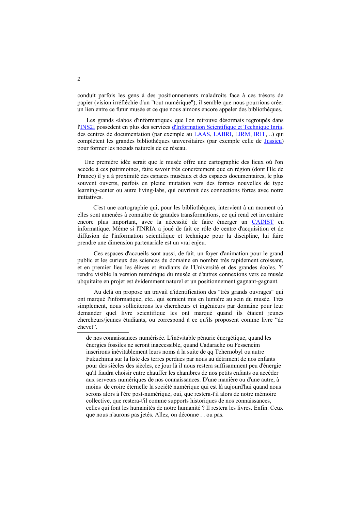conduit parfois les gens à des positionnements maladroits face à ces trésors de papier (vision irréfléchie d'un "tout numérique"), il semble que nous pourrions créer un lien entre ce futur musée et ce que nous aimons encore appeler des bibliothèques.

Les grands «labos d'informatique» que l'on retrouve désormais regroupés dans l'INS2I possèdent en plus des services d'Information Scientifique et Technique Inria, des centres de documentation (par exemple au LAAS, LABRI, LIRM, IRIT, ...) qui complètent les grandes bibliothèques universitaires (par exemple celle de Jussieu) pour former les noeuds naturels de ce réseau.

Une première idée serait que le musée offre une cartographie des lieux où l'on accède à ces patrimoines, faire savoir très concrètement que en région (dont l'Ile de France) il y a à proximité des espaces muséaux et des espaces documentaires, le plus souvent ouverts, parfois en pleine mutation vers des formes nouvelles de type learning-center ou autre living-labs, qui ouvrirait des connections fortes avec notre initiatives.

C'est une cartographie qui, pour les bibliothèques, intervient à un moment où elles sont amenées à connaitre de grandes transformations, ce qui rend cet inventaire encore plus important, avec la nécessité de faire émerger un CADIST en informatique. Même si l'INRIA a joué de fait ce rôle de centre d'acquisition et de diffusion de l'information scientifique et technique pour la discipline, lui faire prendre une dimension partenariale est un vrai enjeu.

Ces espaces d'accueils sont aussi, de fait, un fover d'animation pour le grand public et les curieux des sciences du domaine en nombre très rapidement croissant, et en premier lieu les élèves et étudiants de l'Université et des grandes écoles. Y rendre visible la version numérique du musée et d'autres connexions vers ce musée ubquitaire en projet est évidemment naturel et un positionnement gagnant-gagnant.

Au delà on propose un travail d'identification des "très grands ouvrages" qui ont marqué l'informatique, etc., qui seraient mis en lumière au sein du musée. Très simplement, nous solliciterons les chercheurs et ingénieurs par domaine pour leur demander quel livre scientifique les ont marqué quand ils étaient jeunes chercheurs/jeunes étudiants, ou correspond à ce qu'ils proposent comme livre "de chevet".

de nos connaissances numérisée. L'inévitable pénurie énergétique, quand les énergies fossiles ne seront inaccessible, quand Cadarache ou Fesseneim inscrirons inévitablement leurs noms à la suite de qq Tchernobyl ou autre Fukuchima sur la liste des terres perdues par nous au détriment de nos enfants pour des siècles des siècles, ce jour là il nous restera suffisamment peu d'énergie qu'il faudra choisir entre chauffer les chambres de nos petits enfants ou accéder aux serveurs numériques de nos connaissances. D'une manière ou d'une autre, à moins de croire éternelle la société numérique qui est là aujourd'hui quand nous serons alors à l'ére post-numérique, oui, que restera-t'il alors de notre mémoire collective, que restera-t'il comme supports historiques de nos connaissances, celles qui font les humanités de notre humanité ? Il restera les livres. Enfin. Ceux que nous n'aurons pas jetés. Allez, on déconne . . ou pas.